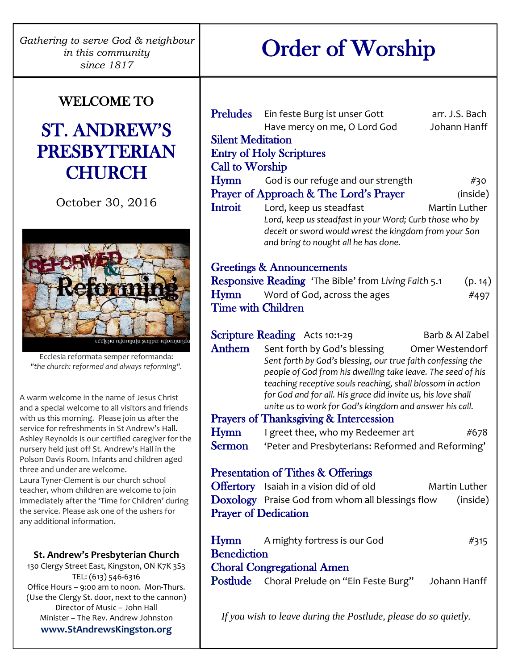# Order of Worship

# WELCOME TO

# ST. ANDREW'S PRESBYTERIAN **CHURCH**

October 30, 2016



Ecclesia reformata semper reformanda: *"the church: reformed and always reforming".*

A warm welcome in the name of Jesus Christ and a special welcome to all visitors and friends with us this morning. Please join us after the service for refreshments in St Andrew's Hall. Ashley Reynolds is our certified caregiver for the nursery held just off St. Andrew's Hall in the Polson Davis Room. Infants and children aged three and under are welcome. Laura Tyner-Clement is our church school teacher, whom children are welcome to join immediately after the 'Time for Children' during the service. Please ask one of the ushers for any additional information.

#### **St. Andrew's Presbyterian Church**

130 Clergy Street East, Kingston, ON K7K 3S3 TEL: (613) 546-6316 Office Hours – 9:00 am to noon. Mon-Thurs. (Use the Clergy St. door, next to the cannon) Director of Music – John Hall Minister – The Rev. Andrew Johnston **www.StAndrewsKingston.org**

|                                                                 | <b>Preludes</b> Ein feste Burg ist unser Gott<br>Have mercy on me, O Lord God                                              | arr. J.S. Bach<br>Johann Hanff |  |  |
|-----------------------------------------------------------------|----------------------------------------------------------------------------------------------------------------------------|--------------------------------|--|--|
| <b>Silent Meditation</b>                                        |                                                                                                                            |                                |  |  |
|                                                                 | <b>Entry of Holy Scriptures</b>                                                                                            |                                |  |  |
| <b>Call to Worship</b>                                          |                                                                                                                            |                                |  |  |
| Hymn                                                            | God is our refuge and our strength                                                                                         | #30                            |  |  |
|                                                                 | Prayer of Approach & The Lord's Prayer                                                                                     | (inside)                       |  |  |
| <b>Introit</b>                                                  | Lord, keep us steadfast                                                                                                    | <b>Martin Luther</b>           |  |  |
|                                                                 | Lord, keep us steadfast in your Word; Curb those who by                                                                    |                                |  |  |
|                                                                 | deceit or sword would wrest the kingdom from your Son                                                                      |                                |  |  |
|                                                                 | and bring to nought all he has done.                                                                                       |                                |  |  |
| <b>Greetings &amp; Announcements</b>                            |                                                                                                                            |                                |  |  |
|                                                                 | Responsive Reading 'The Bible' from Living Faith 5.1                                                                       | (p. 14)                        |  |  |
|                                                                 | <b>Hymn</b> Word of God, across the ages                                                                                   | #497                           |  |  |
| <b>Time with Children</b>                                       |                                                                                                                            |                                |  |  |
|                                                                 |                                                                                                                            |                                |  |  |
|                                                                 | <b>Scripture Reading</b> Acts 10:1-29                                                                                      | Barb & Al Zabel                |  |  |
| Anthem                                                          | Sent forth by God's blessing                                                                                               | Omer Westendorf                |  |  |
|                                                                 | Sent forth by God's blessing, our true faith confessing the<br>people of God from his dwelling take leave. The seed of his |                                |  |  |
|                                                                 | teaching receptive souls reaching, shall blossom in action                                                                 |                                |  |  |
|                                                                 | for God and for all. His grace did invite us, his love shall                                                               |                                |  |  |
|                                                                 | unite us to work for God's kingdom and answer his call.                                                                    |                                |  |  |
|                                                                 | <b>Prayers of Thanksgiving &amp; Intercession</b>                                                                          |                                |  |  |
| Hymn                                                            | I greet thee, who my Redeemer art                                                                                          | #678                           |  |  |
| <b>Sermon</b>                                                   | 'Peter and Presbyterians: Reformed and Reforming'                                                                          |                                |  |  |
| <b>Presentation of Tithes &amp; Offerings</b>                   |                                                                                                                            |                                |  |  |
|                                                                 | Offertory Isaiah in a vision did of old                                                                                    | Martin Luther                  |  |  |
|                                                                 | <b>Doxology</b> Praise God from whom all blessings flow                                                                    | (inside)                       |  |  |
| <b>Prayer of Dedication</b>                                     |                                                                                                                            |                                |  |  |
|                                                                 |                                                                                                                            |                                |  |  |
|                                                                 | <b>Hymn</b> A mighty fortress is our God                                                                                   | #315                           |  |  |
| <b>Benediction</b>                                              |                                                                                                                            |                                |  |  |
| <b>Choral Congregational Amen</b>                               |                                                                                                                            |                                |  |  |
|                                                                 | <b>Postlude</b> Choral Prelude on "Ein Feste Burg" Johann Hanff                                                            |                                |  |  |
|                                                                 |                                                                                                                            |                                |  |  |
| If you wish to leave during the Postlude, please do so quietly. |                                                                                                                            |                                |  |  |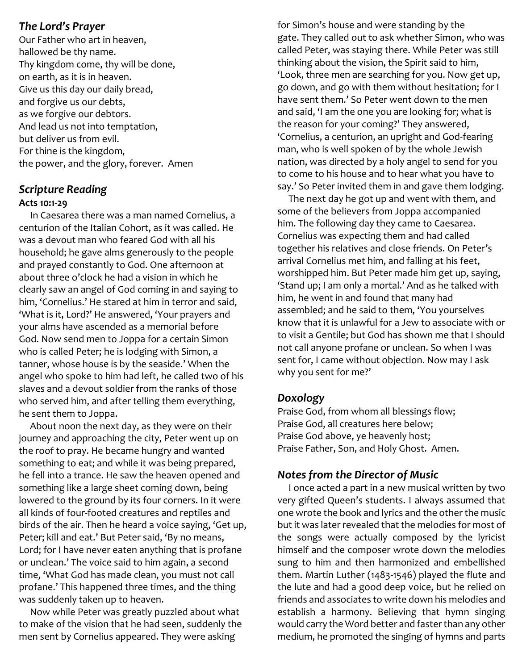#### *The Lord's Prayer*

Our Father who art in heaven, hallowed be thy name. Thy kingdom come, thy will be done, on earth, as it is in heaven. Give us this day our daily bread, and forgive us our debts, as we forgive our debtors. And lead us not into temptation, but deliver us from evil. For thine is the kingdom, the power, and the glory, forever. Amen

# *Scripture Reading*

#### **Acts 10:1-29**

 In Caesarea there was a man named Cornelius, a centurion of the Italian Cohort, as it was called. He was a devout man who feared God with all his household; he gave alms generously to the people and prayed constantly to God. One afternoon at about three o'clock he had a vision in which he clearly saw an angel of God coming in and saying to him, 'Cornelius.' He stared at him in terror and said, 'What is it, Lord?' He answered, 'Your prayers and your alms have ascended as a memorial before God. Now send men to Joppa for a certain Simon who is called Peter; he is lodging with Simon, a tanner, whose house is by the seaside.' When the angel who spoke to him had left, he called two of his slaves and a devout soldier from the ranks of those who served him, and after telling them everything, he sent them to Joppa.

 About noon the next day, as they were on their journey and approaching the city, Peter went up on the roof to pray. He became hungry and wanted something to eat; and while it was being prepared, he fell into a trance. He saw the heaven opened and something like a large sheet coming down, being lowered to the ground by its four corners. In it were all kinds of four-footed creatures and reptiles and birds of the air. Then he heard a voice saying, 'Get up, Peter; kill and eat.' But Peter said, 'By no means, Lord; for I have never eaten anything that is profane or unclean.' The voice said to him again, a second time, 'What God has made clean, you must not call profane.' This happened three times, and the thing was suddenly taken up to heaven.

 Now while Peter was greatly puzzled about what to make of the vision that he had seen, suddenly the men sent by Cornelius appeared. They were asking

for Simon's house and were standing by the gate. They called out to ask whether Simon, who was called Peter, was staying there. While Peter was still thinking about the vision, the Spirit said to him, 'Look, three men are searching for you. Now get up, go down, and go with them without hesitation; for I have sent them.' So Peter went down to the men and said, 'I am the one you are looking for; what is the reason for your coming?' They answered, 'Cornelius, a centurion, an upright and God-fearing man, who is well spoken of by the whole Jewish nation, was directed by a holy angel to send for you to come to his house and to hear what you have to say.' So Peter invited them in and gave them lodging.

 The next day he got up and went with them, and some of the believers from Joppa accompanied him. The following day they came to Caesarea. Cornelius was expecting them and had called together his relatives and close friends. On Peter's arrival Cornelius met him, and falling at his feet, worshipped him. But Peter made him get up, saying, 'Stand up; I am only a mortal.' And as he talked with him, he went in and found that many had assembled; and he said to them, 'You yourselves know that it is unlawful for a Jew to associate with or to visit a Gentile; but God has shown me that I should not call anyone profane or unclean. So when I was sent for, I came without objection. Now may I ask why you sent for me?'

# *Doxology*

Praise God, from whom all blessings flow; Praise God, all creatures here below; Praise God above, ye heavenly host; Praise Father, Son, and Holy Ghost. Amen.

# *Notes from the Director of Music*

 I once acted a part in a new musical written by two very gifted Queen's students. I always assumed that one wrote the book and lyrics and the other the music but it was later revealed that the melodies for most of the songs were actually composed by the lyricist himself and the composer wrote down the melodies sung to him and then harmonized and embellished them. Martin Luther (1483-1546) played the flute and the lute and had a good deep voice, but he relied on friends and associates to write down his melodies and establish a harmony. Believing that hymn singing would carry the Word better and faster than any other medium, he promoted the singing of hymns and parts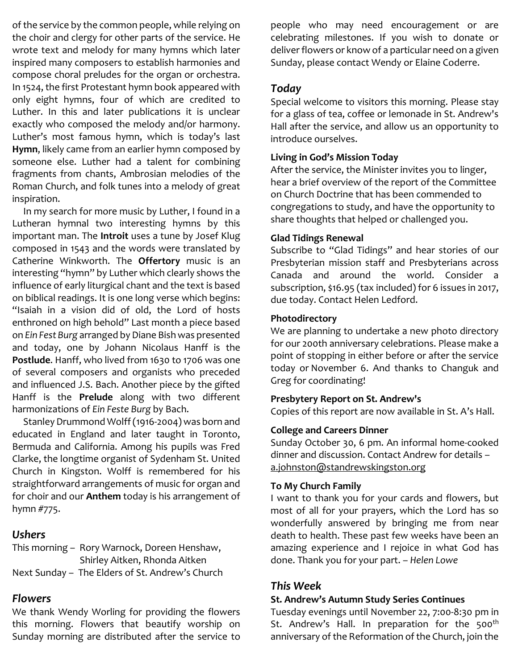of the service by the common people, while relying on the choir and clergy for other parts of the service. He wrote text and melody for many hymns which later inspired many composers to establish harmonies and compose choral preludes for the organ or orchestra. In 1524, the first Protestant hymn book appeared with only eight hymns, four of which are credited to Luther. In this and later publications it is unclear exactly who composed the melody and/or harmony. Luther's most famous hymn, which is today's last **Hymn**, likely came from an earlier hymn composed by someone else. Luther had a talent for combining fragments from chants, Ambrosian melodies of the Roman Church, and folk tunes into a melody of great inspiration.

 In my search for more music by Luther, I found in a Lutheran hymnal two interesting hymns by this important man. The **Introit** uses a tune by Josef Klug composed in 1543 and the words were translated by Catherine Winkworth. The **Offertory** music is an interesting "hymn" by Luther which clearly shows the influence of early liturgical chant and the text is based on biblical readings. It is one long verse which begins: "Isaiah in a vision did of old, the Lord of hosts enthroned on high behold" Last month a piece based on *Ein Fest Burg* arranged by Diane Bish was presented and today, one by Johann Nicolaus Hanff is the **Postlude**. Hanff, who lived from 1630 to 1706 was one of several composers and organists who preceded and influenced J.S. Bach. Another piece by the gifted Hanff is the **Prelude** along with two different harmonizations of *Ein Feste Burg* by Bach.

 Stanley Drummond Wolff (1916-2004) was born and educated in England and later taught in Toronto, Bermuda and California. Among his pupils was Fred Clarke, the longtime organist of Sydenham St. United Church in Kingston. Wolff is remembered for his straightforward arrangements of music for organ and for choir and our **Anthem** today is his arrangement of hymn #775.

# *Ushers*

This morning – Rory Warnock, Doreen Henshaw, Shirley Aitken, Rhonda Aitken Next Sunday – The Elders of St. Andrew's Church

# *Flowers*

We thank Wendy Worling for providing the flowers this morning. Flowers that beautify worship on Sunday morning are distributed after the service to

people who may need encouragement or are celebrating milestones. If you wish to donate or deliver flowers or know of a particular need on a given Sunday, please contact Wendy or Elaine Coderre.

# *Today*

Special welcome to visitors this morning. Please stay for a glass of tea, coffee or lemonade in St. Andrew's Hall after the service, and allow us an opportunity to introduce ourselves.

# **Living in God's Mission Today**

After the service, the Minister invites you to linger, hear a brief overview of the report of the Committee on Church Doctrine that has been commended to congregations to study, and have the opportunity to share thoughts that helped or challenged you.

# **Glad Tidings Renewal**

Subscribe to "Glad Tidings" and hear stories of our Presbyterian mission staff and Presbyterians across Canada and around the world. Consider a subscription, \$16.95 (tax included) for 6 issues in 2017, due today. Contact Helen Ledford.

# **Photodirectory**

We are planning to undertake a new photo directory for our 200th anniversary celebrations. Please make a point of stopping in either before or after the service today or November 6. And thanks to Changuk and Greg for coordinating!

#### **Presbytery Report on St. Andrew's**

Copies of this report are now available in St. A's Hall.

# **College and Careers Dinner**

Sunday October 30, 6 pm. An informal home-cooked dinner and discussion. Contact Andrew for details – [a.johnston@standrewskingston.org](mailto:a.johnston@standrewskingston.org)

#### **To My Church Family**

I want to thank you for your cards and flowers, but most of all for your prayers, which the Lord has so wonderfully answered by bringing me from near death to health. These past few weeks have been an amazing experience and I rejoice in what God has done. Thank you for your part. – *Helen Lowe*

# *This Week*

#### **St. Andrew's Autumn Study Series Continues**

Tuesday evenings until November 22, 7:00-8:30 pm in St. Andrew's Hall. In preparation for the 500<sup>th</sup> anniversary of the Reformation of the Church, join the